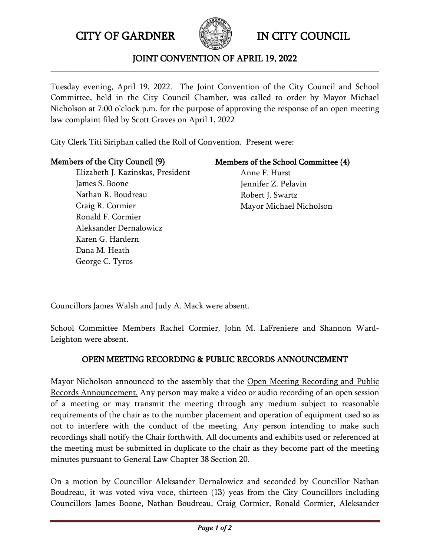CITY OF GARDNER IN CITY COUNCIL



## JOINT CONVENTION OF APRIL 19, 2022 **\_\_\_\_\_\_\_\_\_\_\_\_\_\_\_\_\_\_\_\_\_\_\_\_\_\_\_\_\_\_\_\_\_\_\_\_\_\_\_\_\_\_\_\_\_\_\_\_\_\_\_\_\_\_\_\_\_\_\_\_\_\_\_\_\_\_\_\_\_\_\_\_\_\_\_\_\_\_\_\_\_\_\_\_\_**

Tuesday evening, April 19, 2022. The Joint Convention of the City Council and School Committee, held in the City Council Chamber, was called to order by Mayor Michael Nicholson at 7:00 o'clock p.m. for the purpose of approving the response of an open meeting law complaint filed by Scott Graves on April 1, 2022

City Clerk Titi Siriphan called the Roll of Convention. Present were:

## Members of the City Council (9)

 Elizabeth J. Kazinskas, President James S. Boone Nathan R. Boudreau Craig R. Cormier Ronald F. Cormier Aleksander Dernalowicz Karen G. Hardern Dana M. Heath George C. Tyros

# Members of the School Committee (4)

Anne F. Hurst Jennifer Z. Pelavin Robert J. Swartz Mayor Michael Nicholson

Councillors James Walsh and Judy A. Mack were absent.

School Committee Members Rachel Cormier, John M. LaFreniere and Shannon Ward-Leighton were absent.

# OPEN MEETING RECORDING & PUBLIC RECORDS ANNOUNCEMENT

Mayor Nicholson announced to the assembly that the Open Meeting Recording and Public Records Announcement. Any person may make a video or audio recording of an open session of a meeting or may transmit the meeting through any medium subject to reasonable requirements of the chair as to the number placement and operation of equipment used so as not to interfere with the conduct of the meeting. Any person intending to make such recordings shall notify the Chair forthwith. All documents and exhibits used or referenced at the meeting must be submitted in duplicate to the chair as they become part of the meeting minutes pursuant to General Law Chapter 38 Section 20.

On a motion by Councillor Aleksander Dernalowicz and seconded by Councillor Nathan Boudreau, it was voted viva voce, thirteen (13) yeas from the City Councillors including Councillors James Boone, Nathan Boudreau, Craig Cormier, Ronald Cormier, Aleksander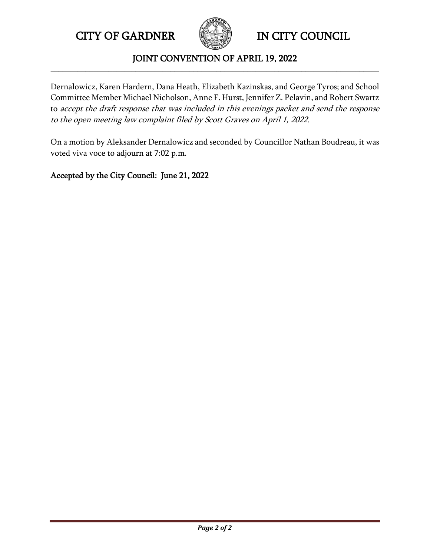CITY OF GARDNER **IN CITY COUNCIL** 



## JOINT CONVENTION OF APRIL 19, 2022 **\_\_\_\_\_\_\_\_\_\_\_\_\_\_\_\_\_\_\_\_\_\_\_\_\_\_\_\_\_\_\_\_\_\_\_\_\_\_\_\_\_\_\_\_\_\_\_\_\_\_\_\_\_\_\_\_\_\_\_\_\_\_\_\_\_\_\_\_\_\_\_\_\_\_\_\_\_\_\_\_\_\_\_\_\_**

Dernalowicz, Karen Hardern, Dana Heath, Elizabeth Kazinskas, and George Tyros; and School Committee Member Michael Nicholson, Anne F. Hurst, Jennifer Z. Pelavin, and Robert Swartz to accept the draft response that was included in this evenings packet and send the response to the open meeting law complaint filed by Scott Graves on April 1, 2022.

On a motion by Aleksander Dernalowicz and seconded by Councillor Nathan Boudreau, it was voted viva voce to adjourn at 7:02 p.m.

Accepted by the City Council: June 21, 2022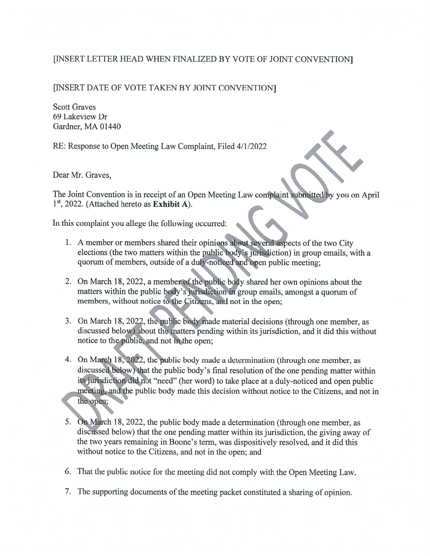# [INSERT LETTER HEAD WHEN FINALIZED BY VOTE OF JOINT CONVENTION]

## [INSERT DATE OF VOTE TAKEN BY JOINT CONVENTION]

**Scott Graves** 69 Lakeview Dr Gardner, MA 01440

RE: Response to Open Meeting Law Complaint, Filed 4/1/2022

Dear Mr. Graves,

The Joint Convention is in receipt of an Open Meeting Law complaint submitted by you on April  $1<sup>st</sup>$ , 2022. (Attached hereto as Exhibit A).

In this complaint you allege the following occurred:

- 1. A member or members shared their opinions about several aspects of the two City elections (the two matters within the public body's jurisdiction) in group emails, with a quorum of members, outside of a duly-noticed and open public meeting;
- 2. On March 18, 2022, a member of the public body shared her own opinions about the matters within the public body's jurisdiction in group emails, amongst a quorum of members, without notice to the Citizens, and not in the open;
- 3. On March 18, 2022, the public body made material decisions (through one member, as discussed below) about the matters pending within its jurisdiction, and it did this without notice to the public, and not in the open;
- 4. On March 18, 2022, the public body made a determination (through one member, as discussed below) that the public body's final resolution of the one pending matter within its jurisdiction did not "need" (her word) to take place at a duly-noticed and open public meeting, and the public body made this decision without notice to the Citizens, and not in the open;
- 5. On March 18, 2022, the public body made a determination (through one member, as discussed below) that the one pending matter within its jurisdiction, the giving away of the two years remaining in Boone's term, was dispositively resolved, and it did this without notice to the Citizens, and not in the open; and
- 6. That the public notice for the meeting did not comply with the Open Meeting Law.
- 7. The supporting documents of the meeting packet constituted a sharing of opinion.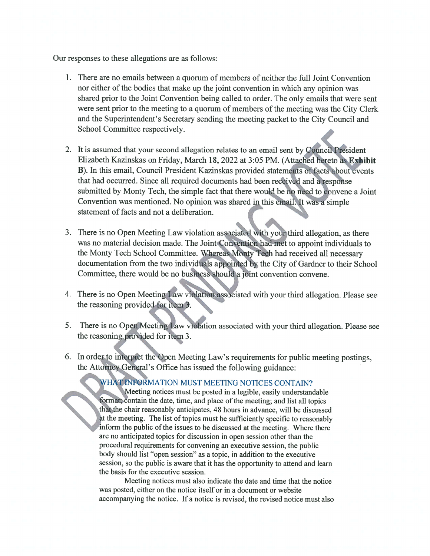Our responses to these allegations are as follows:

- 1. There are no emails between a quorum of members of neither the full Joint Convention nor either of the bodies that make up the joint convention in which any opinion was shared prior to the Joint Convention being called to order. The only emails that were sent were sent prior to the meeting to a quorum of members of the meeting was the City Clerk and the Superintendent's Secretary sending the meeting packet to the City Council and School Committee respectively.
- 2. It is assumed that your second allegation relates to an email sent by Council President Elizabeth Kazinskas on Friday, March 18, 2022 at 3:05 PM. (Attached hereto as Exhibit B). In this email, Council President Kazinskas provided statements of facts about events that had occurred. Since all required documents had been received and a response submitted by Monty Tech, the simple fact that there would be no need to convene a Joint Convention was mentioned. No opinion was shared in this email. It was a simple statement of facts and not a deliberation.
- 3. There is no Open Meeting Law violation associated with your third allegation, as there was no material decision made. The Joint Convention had met to appoint individuals to the Monty Tech School Committee. Whereas Monty Tech had received all necessary documentation from the two individuals appointed by the City of Gardner to their School Committee, there would be no business should a joint convention convene.
- 4. There is no Open Meeting Law violation associated with your third allegation. Please see the reasoning provided for item 3.
- There is no Open Meeting Law violation associated with your third allegation. Please see 5. the reasoning provided for item 3.
- 6. In order to interpret the Open Meeting Law's requirements for public meeting postings, the Attorney General's Office has issued the following guidance:

# WHAT INFORMATION MUST MEETING NOTICES CONTAIN?

Meeting notices must be posted in a legible, easily understandable format: contain the date, time, and place of the meeting; and list all topics that the chair reasonably anticipates, 48 hours in advance, will be discussed at the meeting. The list of topics must be sufficiently specific to reasonably inform the public of the issues to be discussed at the meeting. Where there are no anticipated topics for discussion in open session other than the procedural requirements for convening an executive session, the public body should list "open session" as a topic, in addition to the executive session, so the public is aware that it has the opportunity to attend and learn the basis for the executive session.

Meeting notices must also indicate the date and time that the notice was posted, either on the notice itself or in a document or website accompanying the notice. If a notice is revised, the revised notice must also